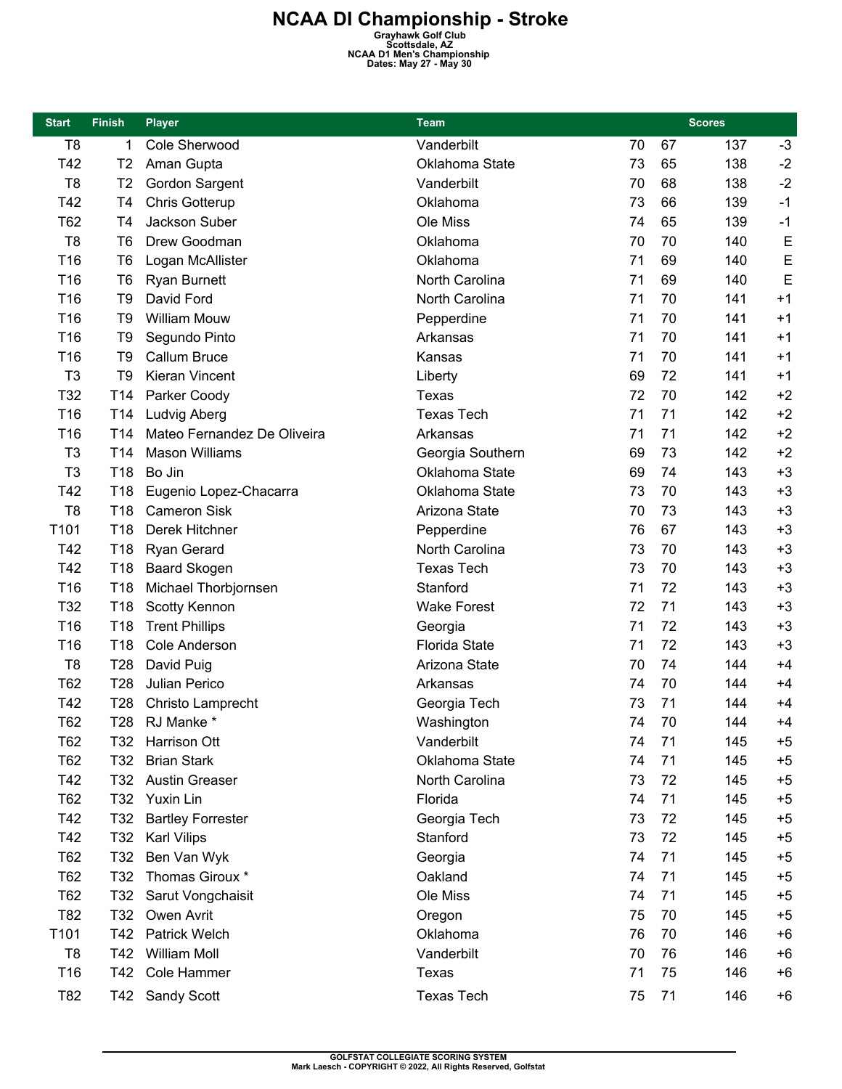| <b>Start</b>   | <b>Finish</b>   | <b>Player</b>               | <b>Team</b>          | <b>Scores</b> |    |     |      |
|----------------|-----------------|-----------------------------|----------------------|---------------|----|-----|------|
| T <sub>8</sub> | 1               | Cole Sherwood               | Vanderbilt           | 70            | 67 | 137 | $-3$ |
| T42            | T <sub>2</sub>  | Aman Gupta                  | Oklahoma State       | 73            | 65 | 138 | $-2$ |
| T <sub>8</sub> | T <sub>2</sub>  | Gordon Sargent              | Vanderbilt           | 70            | 68 | 138 | $-2$ |
| T42            | T4              | <b>Chris Gotterup</b>       | Oklahoma             | 73            | 66 | 139 | $-1$ |
| T62            | T4              | Jackson Suber               | Ole Miss             | 74            | 65 | 139 | $-1$ |
| T <sub>8</sub> | T6              | Drew Goodman                | Oklahoma             | 70            | 70 | 140 | E    |
| T16            | T <sub>6</sub>  | Logan McAllister            | Oklahoma             | 71            | 69 | 140 | E    |
| T16            | T <sub>6</sub>  | <b>Ryan Burnett</b>         | North Carolina       | 71            | 69 | 140 | E    |
| T16            | T <sub>9</sub>  | David Ford                  | North Carolina       | 71            | 70 | 141 | $+1$ |
| T16            | T9              | <b>William Mouw</b>         | Pepperdine           | 71            | 70 | 141 | $+1$ |
| T16            | T <sub>9</sub>  | Segundo Pinto               | Arkansas             | 71            | 70 | 141 | $+1$ |
| T16            | T <sub>9</sub>  | Callum Bruce                | Kansas               | 71            | 70 | 141 | $+1$ |
| T <sub>3</sub> | T <sub>9</sub>  | Kieran Vincent              | Liberty              | 69            | 72 | 141 | $+1$ |
| T32            | T <sub>14</sub> | Parker Coody                | <b>Texas</b>         | 72            | 70 | 142 | $+2$ |
| T16            | T <sub>14</sub> | Ludvig Aberg                | <b>Texas Tech</b>    | 71            | 71 | 142 | $+2$ |
| T16            | T <sub>14</sub> | Mateo Fernandez De Oliveira | Arkansas             | 71            | 71 | 142 | $+2$ |
| T <sub>3</sub> | T <sub>14</sub> | <b>Mason Williams</b>       | Georgia Southern     | 69            | 73 | 142 | $+2$ |
| T <sub>3</sub> | T18             | Bo Jin                      | Oklahoma State       | 69            | 74 | 143 | $+3$ |
| T42            | T <sub>18</sub> | Eugenio Lopez-Chacarra      | Oklahoma State       | 73            | 70 | 143 | $+3$ |
| T <sub>8</sub> | T18             | <b>Cameron Sisk</b>         | Arizona State        | 70            | 73 | 143 | $+3$ |
| T101           | T18             | Derek Hitchner              | Pepperdine           | 76            | 67 | 143 | $+3$ |
| T42            | T <sub>18</sub> | Ryan Gerard                 | North Carolina       | 73            | 70 | 143 | $+3$ |
| T42            | T18             | <b>Baard Skogen</b>         | <b>Texas Tech</b>    | 73            | 70 | 143 | $+3$ |
| T16            | T <sub>18</sub> | Michael Thorbjornsen        | Stanford             | 71            | 72 | 143 | $+3$ |
| T32            | T <sub>18</sub> | Scotty Kennon               | <b>Wake Forest</b>   | 72            | 71 | 143 | $+3$ |
| T16            | T <sub>18</sub> | <b>Trent Phillips</b>       | Georgia              | 71            | 72 | 143 | $+3$ |
| T16            | T <sub>18</sub> | Cole Anderson               | <b>Florida State</b> | 71            | 72 | 143 | $+3$ |
| T <sub>8</sub> | T <sub>28</sub> | David Puig                  | Arizona State        | 70            | 74 | 144 | $+4$ |
| T62            | T <sub>28</sub> | Julian Perico               | Arkansas             | 74            | 70 | 144 | $+4$ |
| T42            | T <sub>28</sub> | Christo Lamprecht           | Georgia Tech         | 73            | 71 | 144 | $+4$ |
| <b>T62</b>     | <b>T28</b>      | RJ Manke *                  | Washington           | 74            | 70 | 144 | $+4$ |
| T62            | T32             | Harrison Ott                | Vanderbilt           | 74            | 71 | 145 | $+5$ |
| T62            | T <sub>32</sub> | <b>Brian Stark</b>          | Oklahoma State       | 74            | 71 | 145 | $+5$ |
| T42            | T32             | <b>Austin Greaser</b>       | North Carolina       | 73            | 72 | 145 | $+5$ |
| T62            | T <sub>32</sub> | Yuxin Lin                   | Florida              | 74            | 71 | 145 | $+5$ |
| T42            | T <sub>32</sub> | <b>Bartley Forrester</b>    | Georgia Tech         | 73            | 72 | 145 | $+5$ |
| T42            | T <sub>32</sub> | <b>Karl Vilips</b>          | Stanford             | 73            | 72 | 145 | $+5$ |
| T62            | T <sub>32</sub> | Ben Van Wyk                 | Georgia              | 74            | 71 | 145 | $+5$ |
| T62            | T32             | Thomas Giroux *             | Oakland              | 74            | 71 | 145 | $+5$ |
| T62            | T <sub>32</sub> | Sarut Vongchaisit           | Ole Miss             | 74            | 71 | 145 | $+5$ |
| T82            | T32             | Owen Avrit                  | Oregon               | 75            | 70 | 145 | $+5$ |
| T101           | T42             | <b>Patrick Welch</b>        | Oklahoma             | 76            | 70 | 146 | $+6$ |
| T <sub>8</sub> | T42             | <b>William Moll</b>         | Vanderbilt           | 70            | 76 | 146 | $+6$ |
| T16            | T42             | Cole Hammer                 | Texas                | 71            | 75 | 146 | $+6$ |
| T82            | T42             | Sandy Scott                 | <b>Texas Tech</b>    | 75            | 71 | 146 | $+6$ |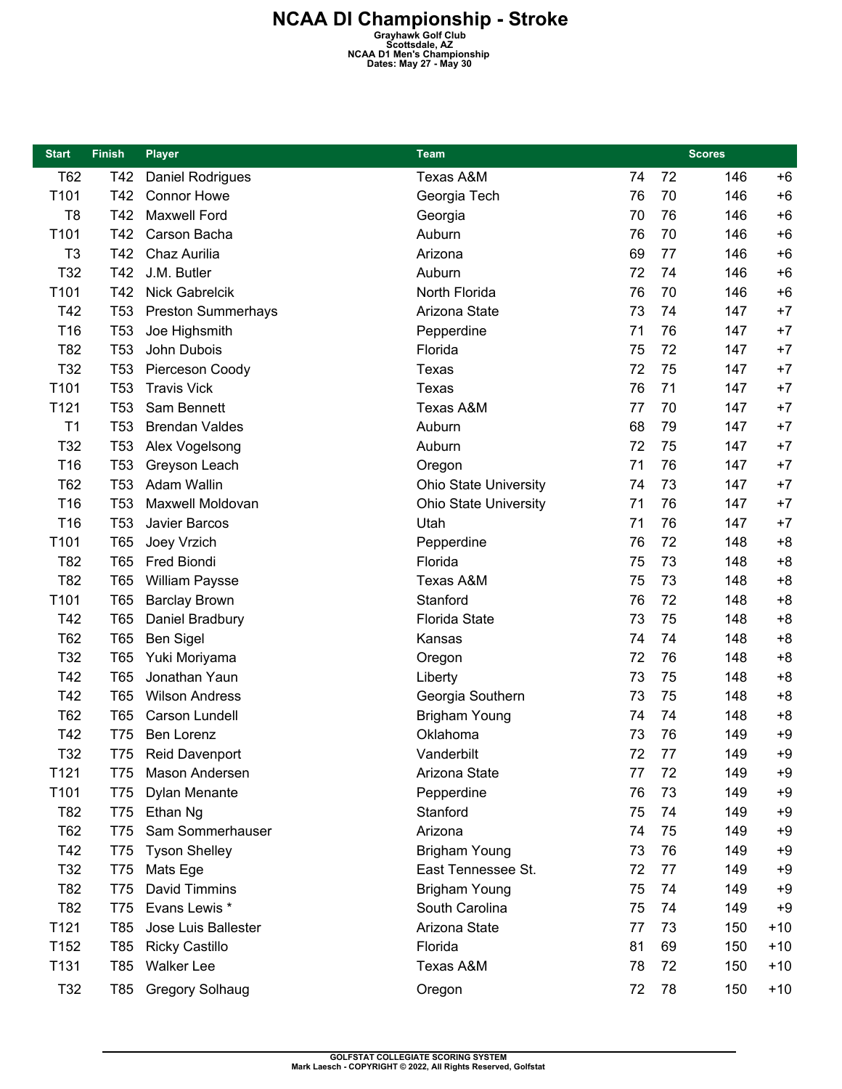| <b>Start</b>     | <b>Finish</b>   | <b>Player</b>             | <b>Team</b>                  |    |    | <b>Scores</b> |       |
|------------------|-----------------|---------------------------|------------------------------|----|----|---------------|-------|
| T62              | T42             | <b>Daniel Rodrigues</b>   | Texas A&M                    | 74 | 72 | 146           | $+6$  |
| T101             | T42             | <b>Connor Howe</b>        | Georgia Tech                 | 76 | 70 | 146           | $+6$  |
| T <sub>8</sub>   | T42             | <b>Maxwell Ford</b>       | Georgia                      | 70 | 76 | 146           | $+6$  |
| T101             | T42             | Carson Bacha              | Auburn                       | 76 | 70 | 146           | $+6$  |
| T <sub>3</sub>   | T42             | Chaz Aurilia              | Arizona                      | 69 | 77 | 146           | $+6$  |
| T32              | T42             | J.M. Butler               | Auburn                       | 72 | 74 | 146           | $+6$  |
| T101             | T42             | <b>Nick Gabrelcik</b>     | North Florida                | 76 | 70 | 146           | $+6$  |
| T42              | T <sub>53</sub> | <b>Preston Summerhays</b> | Arizona State                | 73 | 74 | 147           | $+7$  |
| T16              | T <sub>53</sub> | Joe Highsmith             | Pepperdine                   | 71 | 76 | 147           | $+7$  |
| T82              | T <sub>53</sub> | John Dubois               | Florida                      | 75 | 72 | 147           | $+7$  |
| T32              | T <sub>53</sub> | Pierceson Coody           | Texas                        | 72 | 75 | 147           | $+7$  |
| T101             | T <sub>53</sub> | <b>Travis Vick</b>        | Texas                        | 76 | 71 | 147           | $+7$  |
| T121             | T <sub>53</sub> | Sam Bennett               | <b>Texas A&amp;M</b>         | 77 | 70 | 147           | $+7$  |
| T1               | T <sub>53</sub> | <b>Brendan Valdes</b>     | Auburn                       | 68 | 79 | 147           | $+7$  |
| T32              | T <sub>53</sub> | Alex Vogelsong            | Auburn                       | 72 | 75 | 147           | $+7$  |
| T16              | T <sub>53</sub> | Greyson Leach             | Oregon                       | 71 | 76 | 147           | $+7$  |
| T62              | T <sub>53</sub> | Adam Wallin               | <b>Ohio State University</b> | 74 | 73 | 147           | $+7$  |
| T16              | T <sub>53</sub> | Maxwell Moldovan          | <b>Ohio State University</b> | 71 | 76 | 147           | $+7$  |
| T16              | T <sub>53</sub> | Javier Barcos             | Utah                         | 71 | 76 | 147           | $+7$  |
| T101             | T65             | Joey Vrzich               | Pepperdine                   | 76 | 72 | 148           | $+8$  |
| T82              | T65             | Fred Biondi               | Florida                      | 75 | 73 | 148           | $+8$  |
| T82              | <b>T65</b>      | <b>William Paysse</b>     | Texas A&M                    | 75 | 73 | 148           | $+8$  |
| T101             | T65             | <b>Barclay Brown</b>      | Stanford                     | 76 | 72 | 148           | $+8$  |
| T42              | <b>T65</b>      | Daniel Bradbury           | <b>Florida State</b>         | 73 | 75 | 148           | $+8$  |
| T62              | T65             | <b>Ben Sigel</b>          | Kansas                       | 74 | 74 | 148           | $+8$  |
| T32              | <b>T65</b>      | Yuki Moriyama             | Oregon                       | 72 | 76 | 148           | $+8$  |
| T42              | T65             | Jonathan Yaun             | Liberty                      | 73 | 75 | 148           | $+8$  |
| T42              | <b>T65</b>      | <b>Wilson Andress</b>     | Georgia Southern             | 73 | 75 | 148           | $+8$  |
| T62              | T65             | Carson Lundell            | <b>Brigham Young</b>         | 74 | 74 | 148           | $+8$  |
| T42              | T75             | Ben Lorenz                | Oklahoma                     | 73 | 76 | 149           | $+9$  |
| T32              | T75             | Reid Davenport            | Vanderbilt                   | 72 | 77 | 149           | $+9$  |
| T121             | T75             | Mason Andersen            | Arizona State                | 77 | 72 | 149           | +9    |
| T <sub>101</sub> | T75             | Dylan Menante             | Pepperdine                   | 76 | 73 | 149           | $+9$  |
| T82              | T75             | Ethan Ng                  | Stanford                     | 75 | 74 | 149           | $+9$  |
| T62              | T75             | Sam Sommerhauser          | Arizona                      | 74 | 75 | 149           | $+9$  |
| T42              | T75             | <b>Tyson Shelley</b>      | <b>Brigham Young</b>         | 73 | 76 | 149           | +9    |
| T32              | T75             | Mats Ege                  | East Tennessee St.           | 72 | 77 | 149           | $+9$  |
| T82              | T75             | David Timmins             | <b>Brigham Young</b>         | 75 | 74 | 149           | $+9$  |
| T82              | T75             | Evans Lewis *             | South Carolina               | 75 | 74 | 149           | $+9$  |
| T121             | T85             | Jose Luis Ballester       | Arizona State                | 77 | 73 | 150           | $+10$ |
| T152             | T85             | <b>Ricky Castillo</b>     | Florida                      | 81 | 69 | 150           | $+10$ |
| T131             | T85             | <b>Walker Lee</b>         | Texas A&M                    | 78 | 72 | 150           | $+10$ |
| T32              | T85             | <b>Gregory Solhaug</b>    | Oregon                       | 72 | 78 | 150           | $+10$ |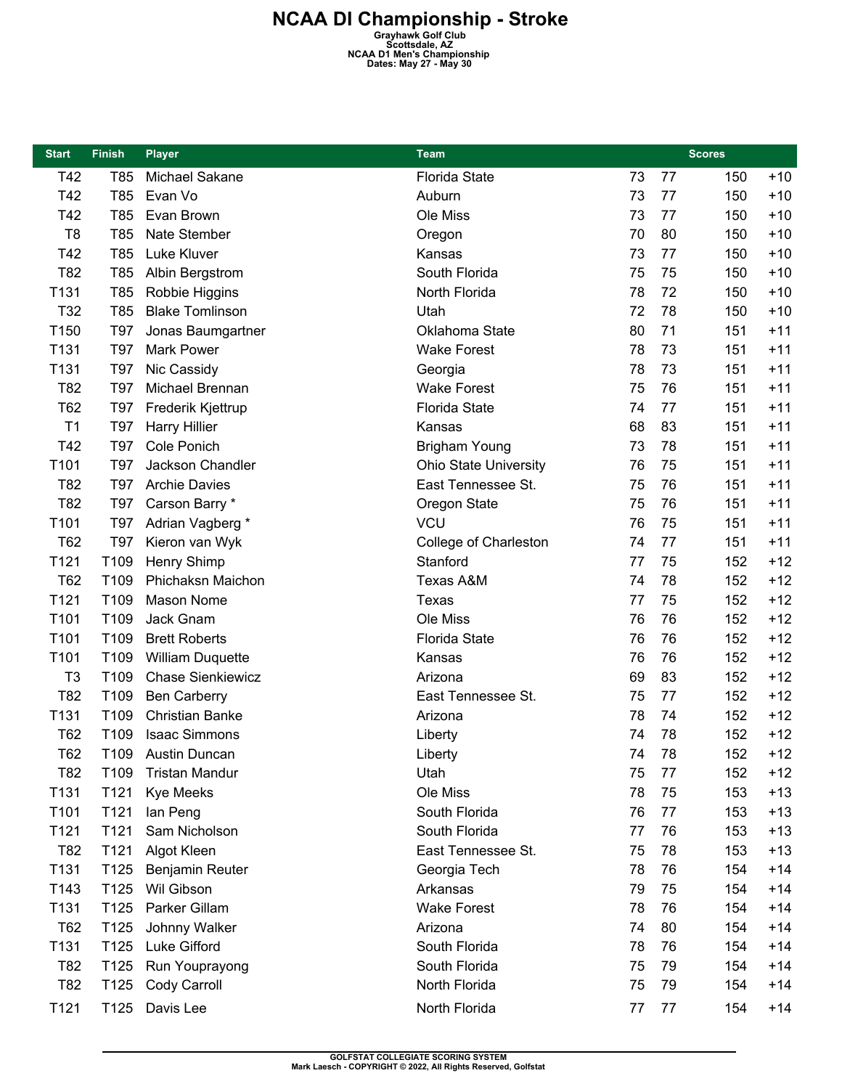| <b>Start</b>   | <b>Finish</b>    | <b>Player</b>            | <b>Team</b>                  |    |    | <b>Scores</b> |       |
|----------------|------------------|--------------------------|------------------------------|----|----|---------------|-------|
| T42            | T85              | Michael Sakane           | <b>Florida State</b>         | 73 | 77 | 150           | $+10$ |
| T42            | T85              | Evan Vo                  | Auburn                       | 73 | 77 | 150           | $+10$ |
| T42            | T85              | Evan Brown               | Ole Miss                     | 73 | 77 | 150           | $+10$ |
| T <sub>8</sub> | T85              | Nate Stember             | Oregon                       | 70 | 80 | 150           | $+10$ |
| T42            | T85              | Luke Kluver              | Kansas                       | 73 | 77 | 150           | $+10$ |
| T82            | T85              | Albin Bergstrom          | South Florida                | 75 | 75 | 150           | $+10$ |
| T131           | T85              | Robbie Higgins           | North Florida                | 78 | 72 | 150           | $+10$ |
| T32            | T85              | <b>Blake Tomlinson</b>   | Utah                         | 72 | 78 | 150           | $+10$ |
| T150           | T97              | Jonas Baumgartner        | Oklahoma State               | 80 | 71 | 151           | $+11$ |
| T131           | T97              | <b>Mark Power</b>        | <b>Wake Forest</b>           | 78 | 73 | 151           | $+11$ |
| T131           | T97              | Nic Cassidy              | Georgia                      | 78 | 73 | 151           | $+11$ |
| T82            | T97              | Michael Brennan          | <b>Wake Forest</b>           | 75 | 76 | 151           | $+11$ |
| T62            | T97              | Frederik Kjettrup        | <b>Florida State</b>         | 74 | 77 | 151           | $+11$ |
| T1             | <b>T97</b>       | <b>Harry Hillier</b>     | Kansas                       | 68 | 83 | 151           | $+11$ |
| T42            | T97              | Cole Ponich              | <b>Brigham Young</b>         | 73 | 78 | 151           | $+11$ |
| T101           | T97              | Jackson Chandler         | <b>Ohio State University</b> | 76 | 75 | 151           | $+11$ |
| T82            | <b>T97</b>       | <b>Archie Davies</b>     | East Tennessee St.           | 75 | 76 | 151           | $+11$ |
| T82            | T97              | Carson Barry *           | Oregon State                 | 75 | 76 | 151           | $+11$ |
| T101           | T97              | Adrian Vagberg *         | <b>VCU</b>                   | 76 | 75 | 151           | $+11$ |
| T62            | T97              | Kieron van Wyk           | College of Charleston        | 74 | 77 | 151           | $+11$ |
| T121           | T109             | Henry Shimp              | Stanford                     | 77 | 75 | 152           | $+12$ |
| T62            | T109             | Phichaksn Maichon        | Texas A&M                    | 74 | 78 | 152           | $+12$ |
| T121           | T109             | Mason Nome               | <b>Texas</b>                 | 77 | 75 | 152           | $+12$ |
| T101           | T109             | Jack Gnam                | Ole Miss                     | 76 | 76 | 152           | $+12$ |
| T101           | T109             | <b>Brett Roberts</b>     | <b>Florida State</b>         | 76 | 76 | 152           | $+12$ |
| T101           | T109             | <b>William Duquette</b>  | Kansas                       | 76 | 76 | 152           | $+12$ |
| T <sub>3</sub> | T109             | <b>Chase Sienkiewicz</b> | Arizona                      | 69 | 83 | 152           | $+12$ |
| T82            | T109             | <b>Ben Carberry</b>      | East Tennessee St.           | 75 | 77 | 152           | $+12$ |
| T131           | T109             | <b>Christian Banke</b>   | Arizona                      | 78 | 74 | 152           | $+12$ |
| <b>T62</b>     | T109             | <b>Isaac Simmons</b>     | Liberty                      | 74 | 78 | 152           | $+12$ |
| <b>T62</b>     | T <sub>109</sub> | Austin Duncan            | Liberty                      | 74 | 78 | 152           | $+12$ |
| T82            | T <sub>109</sub> | <b>Tristan Mandur</b>    | Utah                         | 75 | 77 | 152           | $+12$ |
| T131           | T121             | <b>Kye Meeks</b>         | Ole Miss                     | 78 | 75 | 153           | $+13$ |
| T101           | T121             | lan Peng                 | South Florida                | 76 | 77 | 153           | $+13$ |
| T121           | T121             | Sam Nicholson            | South Florida                | 77 | 76 | 153           | $+13$ |
| T82            | T121             | Algot Kleen              | East Tennessee St.           | 75 | 78 | 153           | $+13$ |
| T131           | T125             | Benjamin Reuter          | Georgia Tech                 | 78 | 76 | 154           | $+14$ |
| T143           | T125             | Wil Gibson               | Arkansas                     | 79 | 75 | 154           | $+14$ |
| T131           | T125             | Parker Gillam            | <b>Wake Forest</b>           | 78 | 76 | 154           | $+14$ |
| <b>T62</b>     | T125             | Johnny Walker            | Arizona                      | 74 | 80 | 154           | $+14$ |
| T131           | T125             | Luke Gifford             | South Florida                | 78 | 76 | 154           | $+14$ |
| T82            | T125             | Run Youprayong           | South Florida                | 75 | 79 | 154           | $+14$ |
| T82            | T125             | Cody Carroll             | North Florida                | 75 | 79 | 154           | $+14$ |
| T121           | T125             | Davis Lee                | North Florida                | 77 | 77 | 154           | $+14$ |